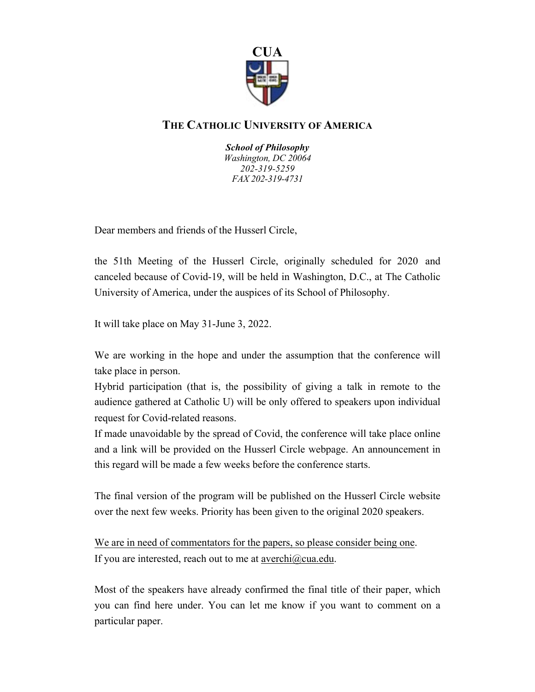

## **THE CATHOLIC UNIVERSITY OF AMERICA**

*School of Philosophy Washington, DC 20064 202-319-5259 FAX 202-319-4731*

Dear members and friends of the Husserl Circle,

the 51th Meeting of the Husserl Circle, originally scheduled for 2020 and canceled because of Covid-19, will be held in Washington, D.C., at The Catholic University of America, under the auspices of its School of Philosophy.

It will take place on May 31-June 3, 2022.

We are working in the hope and under the assumption that the conference will take place in person.

Hybrid participation (that is, the possibility of giving a talk in remote to the audience gathered at Catholic U) will be only offered to speakers upon individual request for Covid-related reasons.

If made unavoidable by the spread of Covid, the conference will take place online and a link will be provided on the Husserl Circle webpage. An announcement in this regard will be made a few weeks before the conference starts.

The final version of the program will be published on the Husserl Circle website over the next few weeks. Priority has been given to the original 2020 speakers.

We are in need of commentators for the papers, so please consider being one. If you are interested, reach out to me at  $\frac{\text{averchi}(a)\text{cua.edu}}{\text{arcsini}(a)}$ .

Most of the speakers have already confirmed the final title of their paper, which you can find here under. You can let me know if you want to comment on a particular paper.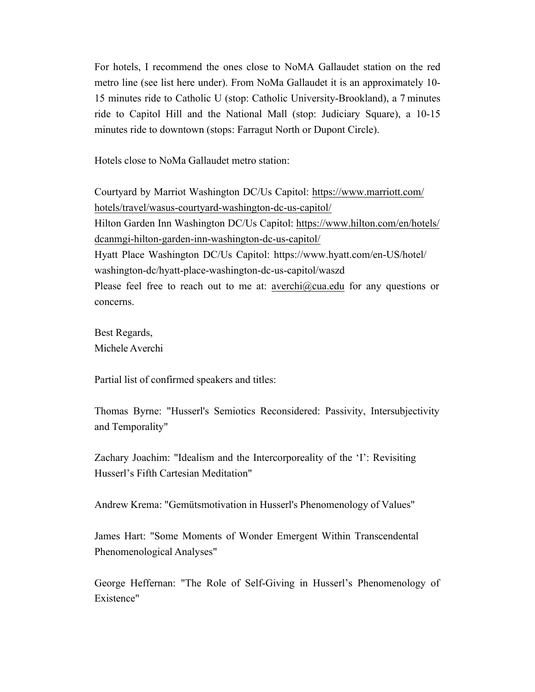For hotels, I recommend the ones close to NoMA Gallaudet station on the red metro line (see list here under). From NoMa Gallaudet it is an approximately 10- 15 minutes ride to Catholic U (stop: Catholic University-Brookland), a 7 minutes ride to Capitol Hill and the National Mall (stop: Judiciary Square), a 10-15 minutes ride to downtown (stops: Farragut North or Dupont Circle).

Hotels close to NoMa Gallaudet metro station:

Courtyard by Marriot Washington DC/Us Capitol: https://www.marriott.com/ hotels/travel/wasus-courtyard-washington-dc-us-capitol/ Hilton Garden Inn Washington DC/Us Capitol: https://www.hilton.com/en/hotels/ dcanmgi-hilton-garden-inn-washington-dc-us-capitol/ Hyatt Place Washington DC/Us Capitol: https://www.hyatt.com/en-US/hotel/ washington-dc/hyatt-place-washington-dc-us-capitol/waszd Please feel free to reach out to me at: averchi@cua.edu for any questions or concerns.

Best Regards, Michele Averchi

Partial list of confirmed speakers and titles:

Thomas Byrne: "Husserl's Semiotics Reconsidered: Passivity, Intersubjectivity and Temporality"

Zachary Joachim: "Idealism and the Intercorporeality of the 'I': Revisiting Husserl's Fifth Cartesian Meditation"

Andrew Krema: "Gemütsmotivation in Husserl's Phenomenology of Values"

James Hart: "Some Moments of Wonder Emergent Within Transcendental Phenomenological Analyses"

George Heffernan: "The Role of Self-Giving in Husserl's Phenomenology of Existence"